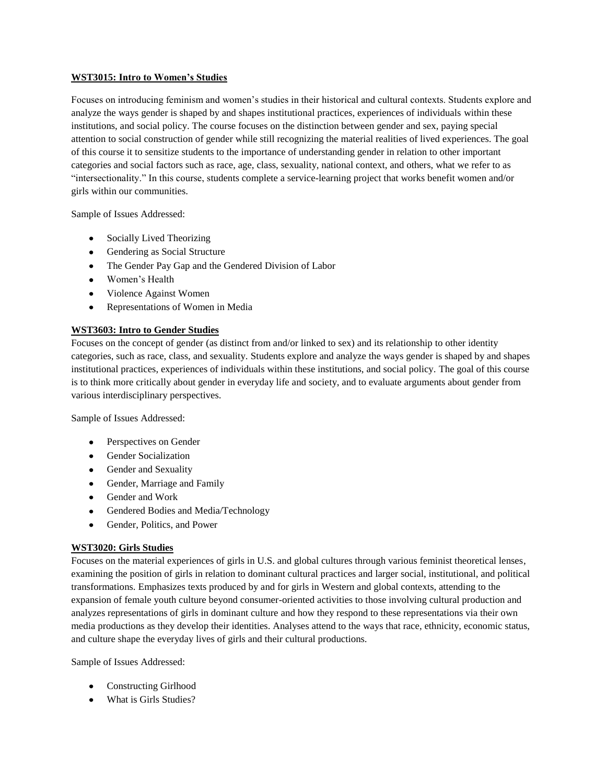#### **WST3015: Intro to Women's Studies**

Focuses on introducing feminism and women's studies in their historical and cultural contexts. Students explore and analyze the ways gender is shaped by and shapes institutional practices, experiences of individuals within these institutions, and social policy. The course focuses on the distinction between gender and sex, paying special attention to social construction of gender while still recognizing the material realities of lived experiences. The goal of this course it to sensitize students to the importance of understanding gender in relation to other important categories and social factors such as race, age, class, sexuality, national context, and others, what we refer to as "intersectionality." In this course, students complete a service-learning project that works benefit women and/or girls within our communities.

Sample of Issues Addressed:

- Socially Lived Theorizing
- Gendering as Social Structure
- The Gender Pay Gap and the Gendered Division of Labor
- Women's Health
- Violence Against Women
- $\bullet$ Representations of Women in Media

### **WST3603: Intro to Gender Studies**

Focuses on the concept of gender (as distinct from and/or linked to sex) and its relationship to other identity categories, such as race, class, and sexuality. Students explore and analyze the ways gender is shaped by and shapes institutional practices, experiences of individuals within these institutions, and social policy. The goal of this course is to think more critically about gender in everyday life and society, and to evaluate arguments about gender from various interdisciplinary perspectives.

Sample of Issues Addressed:

- Perspectives on Gender
- Gender Socialization
- Gender and Sexuality
- Gender, Marriage and Family
- Gender and Work
- Gendered Bodies and Media/Technology
- $\bullet$ Gender, Politics, and Power

### **WST3020: Girls Studies**

Focuses on the material experiences of girls in U.S. and global cultures through various feminist theoretical lenses, examining the position of girls in relation to dominant cultural practices and larger social, institutional, and political transformations. Emphasizes texts produced by and for girls in Western and global contexts, attending to the expansion of female youth culture beyond consumer-oriented activities to those involving cultural production and analyzes representations of girls in dominant culture and how they respond to these representations via their own media productions as they develop their identities. Analyses attend to the ways that race, ethnicity, economic status, and culture shape the everyday lives of girls and their cultural productions.

Sample of Issues Addressed:

- Constructing Girlhood
- What is Girls Studies?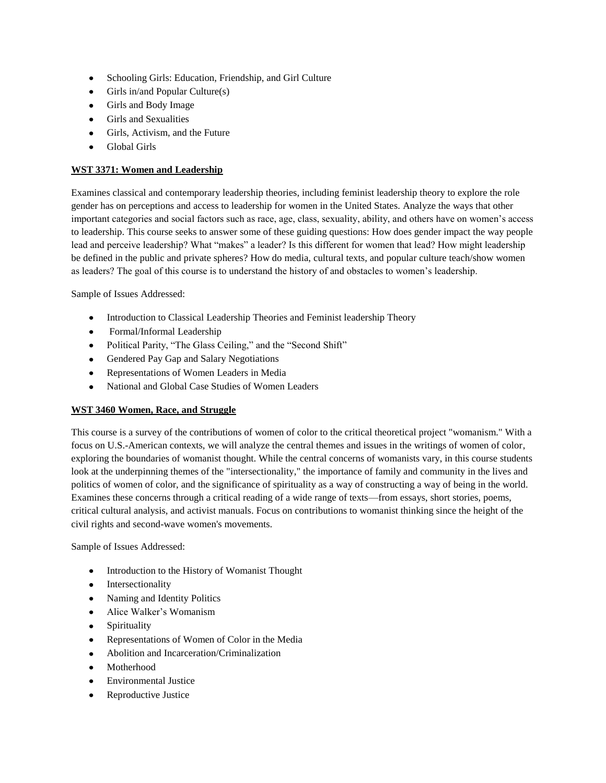- Schooling Girls: Education, Friendship, and Girl Culture  $\bullet$
- $\bullet$  Girls in/and Popular Culture(s)
- Girls and Body Image
- Girls and Sexualities
- Girls, Activism, and the Future  $\bullet$
- Global Girls

### **WST 3371: Women and Leadership**

Examines classical and contemporary leadership theories, including feminist leadership theory to explore the role gender has on perceptions and access to leadership for women in the United States. Analyze the ways that other important categories and social factors such as race, age, class, sexuality, ability, and others have on women's access to leadership. This course seeks to answer some of these guiding questions: How does gender impact the way people lead and perceive leadership? What "makes" a leader? Is this different for women that lead? How might leadership be defined in the public and private spheres? How do media, cultural texts, and popular culture teach/show women as leaders? The goal of this course is to understand the history of and obstacles to women's leadership.

Sample of Issues Addressed:

- Introduction to Classical Leadership Theories and Feminist leadership Theory
- Formal/Informal Leadership  $\bullet$
- Political Parity, "The Glass Ceiling," and the "Second Shift"
- Gendered Pay Gap and Salary Negotiations
- Representations of Women Leaders in Media  $\bullet$
- National and Global Case Studies of Women Leaders  $\bullet$

### **WST 3460 Women, Race, and Struggle**

This course is a survey of the contributions of women of color to the critical theoretical project "womanism." With a focus on U.S.-American contexts, we will analyze the central themes and issues in the writings of women of color, exploring the boundaries of womanist thought. While the central concerns of womanists vary, in this course students look at the underpinning themes of the "intersectionality," the importance of family and community in the lives and politics of women of color, and the significance of spirituality as a way of constructing a way of being in the world. Examines these concerns through a critical reading of a wide range of texts—from essays, short stories, poems, critical cultural analysis, and activist manuals. Focus on contributions to womanist thinking since the height of the civil rights and second-wave women's movements.

Sample of Issues Addressed:

- Introduction to the History of Womanist Thought
- Intersectionality
- Naming and Identity Politics  $\bullet$
- Alice Walker's Womanism  $\bullet$
- Spirituality
- $\bullet$ Representations of Women of Color in the Media
- Abolition and Incarceration/Criminalization
- Motherhood  $\bullet$
- Environmental Justice
- Reproductive Justice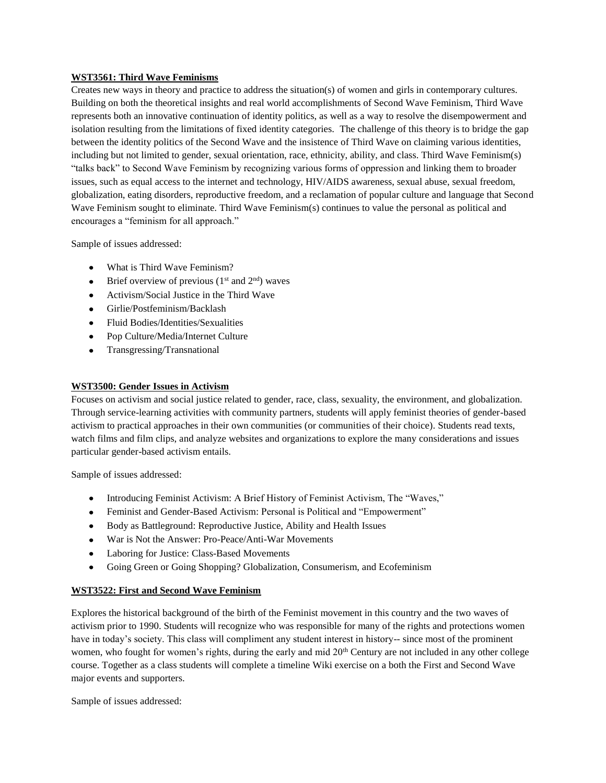# **WST3561: Third Wave Feminisms**

Creates new ways in theory and practice to address the situation(s) of women and girls in contemporary cultures. Building on both the theoretical insights and real world accomplishments of Second Wave Feminism, Third Wave represents both an innovative continuation of identity politics, as well as a way to resolve the disempowerment and isolation resulting from the limitations of fixed identity categories. The challenge of this theory is to bridge the gap between the identity politics of the Second Wave and the insistence of Third Wave on claiming various identities, including but not limited to gender, sexual orientation, race, ethnicity, ability, and class. Third Wave Feminism(s) "talks back" to Second Wave Feminism by recognizing various forms of oppression and linking them to broader issues, such as equal access to the internet and technology, HIV/AIDS awareness, sexual abuse, sexual freedom, globalization, eating disorders, reproductive freedom, and a reclamation of popular culture and language that Second Wave Feminism sought to eliminate. Third Wave Feminism(s) continues to value the personal as political and encourages a "feminism for all approach."

Sample of issues addressed:

- What is Third Wave Feminism?
- $\bullet$  Brief overview of previous (1<sup>st</sup> and 2<sup>nd</sup>) waves
- Activism/Social Justice in the Third Wave  $\bullet$
- Girlie/Postfeminism/Backlash
- Fluid Bodies/Identities/Sexualities
- Pop Culture/Media/Internet Culture
- $\bullet$ Transgressing/Transnational

#### **WST3500: Gender Issues in Activism**

Focuses on activism and social justice related to gender, race, class, sexuality, the environment, and globalization. Through service-learning activities with community partners, students will apply feminist theories of gender-based activism to practical approaches in their own communities (or communities of their choice). Students read texts, watch films and film clips, and analyze websites and organizations to explore the many considerations and issues particular gender-based activism entails.

Sample of issues addressed:

- Introducing Feminist Activism: A Brief History of Feminist Activism, The "Waves,"
- Feminist and Gender-Based Activism: Personal is Political and "Empowerment"
- Body as Battleground: Reproductive Justice, Ability and Health Issues
- War is Not the Answer: Pro-Peace/Anti-War Movements
- Laboring for Justice: Class-Based Movements
- Going Green or Going Shopping? Globalization, Consumerism, and Ecofeminism  $\bullet$

### **WST3522: First and Second Wave Feminism**

Explores the historical background of the birth of the Feminist movement in this country and the two waves of activism prior to 1990. Students will recognize who was responsible for many of the rights and protections women have in today's society. This class will compliment any student interest in history-- since most of the prominent women, who fought for women's rights, during the early and mid  $20<sup>th</sup>$  Century are not included in any other college course. Together as a class students will complete a timeline Wiki exercise on a both the First and Second Wave major events and supporters.

Sample of issues addressed: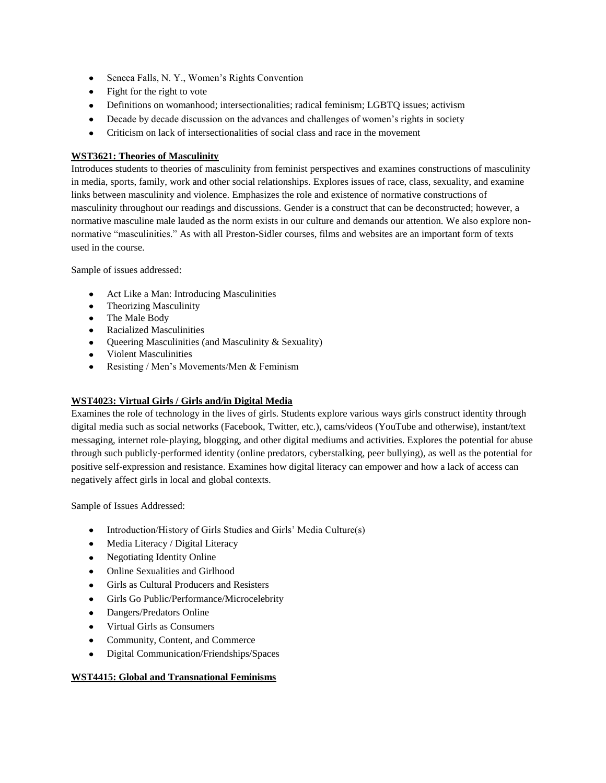- Seneca Falls, N. Y., Women's Rights Convention  $\bullet$
- Fight for the right to vote
- Definitions on womanhood; intersectionalities; radical feminism; LGBTQ issues; activism
- Decade by decade discussion on the advances and challenges of women's rights in society
- Criticism on lack of intersectionalities of social class and race in the movement  $\bullet$

# **WST3621: Theories of Masculinity**

Introduces students to theories of masculinity from feminist perspectives and examines constructions of masculinity in media, sports, family, work and other social relationships. Explores issues of race, class, sexuality, and examine links between masculinity and violence. Emphasizes the role and existence of normative constructions of masculinity throughout our readings and discussions. Gender is a construct that can be deconstructed; however, a normative masculine male lauded as the norm exists in our culture and demands our attention. We also explore nonnormative "masculinities." As with all Preston-Sidler courses, films and websites are an important form of texts used in the course.

Sample of issues addressed:

- Act Like a Man: Introducing Masculinities
- Theorizing Masculinity
- The Male Body
- Racialized Masculinities
- Queering Masculinities (and Masculinity & Sexuality)
- Violent Masculinities
- Resisting / Men's Movements/Men & Feminism

### **WST4023: Virtual Girls / Girls and/in Digital Media**

Examines the role of technology in the lives of girls. Students explore various ways girls construct identity through digital media such as social networks (Facebook, Twitter, etc.), cams/videos (YouTube and otherwise), instant/text messaging, internet role‐playing, blogging, and other digital mediums and activities. Explores the potential for abuse through such publicly‐performed identity (online predators, cyberstalking, peer bullying), as well as the potential for positive self‐expression and resistance. Examines how digital literacy can empower and how a lack of access can negatively affect girls in local and global contexts.

Sample of Issues Addressed:

- Introduction/History of Girls Studies and Girls' Media Culture(s)
- Media Literacy / Digital Literacy
- Negotiating Identity Online
- Online Sexualities and Girlhood
- Girls as Cultural Producers and Resisters  $\bullet$
- Girls Go Public/Performance/Microcelebrity  $\bullet$
- $\bullet$ Dangers/Predators Online
- Virtual Girls as Consumers
- $\bullet$ Community, Content, and Commerce
- Digital Communication/Friendships/Spaces  $\bullet$

### **WST4415: Global and Transnational Feminisms**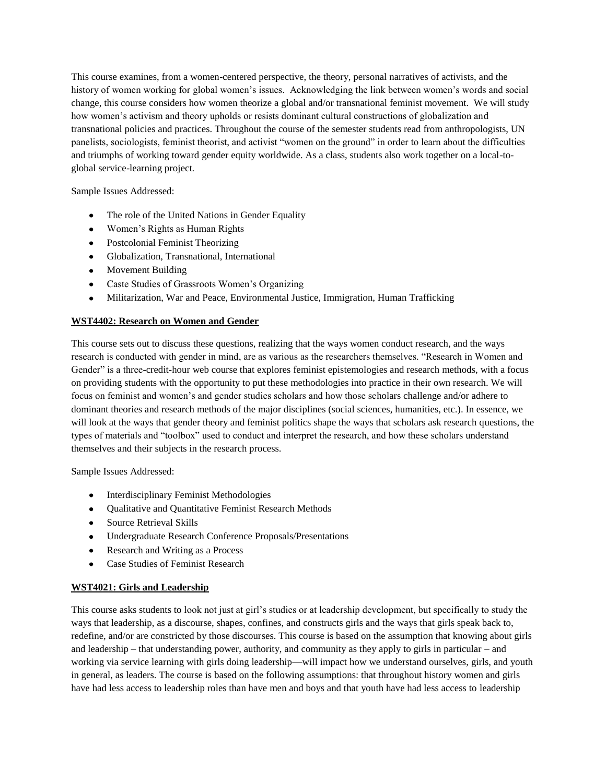This course examines, from a women-centered perspective, the theory, personal narratives of activists, and the history of women working for global women's issues. Acknowledging the link between women's words and social change, this course considers how women theorize a global and/or transnational feminist movement. We will study how women's activism and theory upholds or resists dominant cultural constructions of globalization and transnational policies and practices. Throughout the course of the semester students read from anthropologists, UN panelists, sociologists, feminist theorist, and activist "women on the ground" in order to learn about the difficulties and triumphs of working toward gender equity worldwide. As a class, students also work together on a local-toglobal service-learning project.

Sample Issues Addressed:

- The role of the United Nations in Gender Equality
- Women's Rights as Human Rights
- Postcolonial Feminist Theorizing
- Globalization, Transnational, International
- Movement Building
- Caste Studies of Grassroots Women's Organizing
- $\bullet$ Militarization, War and Peace, Environmental Justice, Immigration, Human Trafficking

# **WST4402: Research on Women and Gender**

This course sets out to discuss these questions, realizing that the ways women conduct research, and the ways research is conducted with gender in mind, are as various as the researchers themselves. "Research in Women and Gender" is a three-credit-hour web course that explores feminist epistemologies and research methods, with a focus on providing students with the opportunity to put these methodologies into practice in their own research. We will focus on feminist and women's and gender studies scholars and how those scholars challenge and/or adhere to dominant theories and research methods of the major disciplines (social sciences, humanities, etc.). In essence, we will look at the ways that gender theory and feminist politics shape the ways that scholars ask research questions, the types of materials and "toolbox" used to conduct and interpret the research, and how these scholars understand themselves and their subjects in the research process.

Sample Issues Addressed:

- Interdisciplinary Feminist Methodologies
- Qualitative and Quantitative Feminist Research Methods
- Source Retrieval Skills
- Undergraduate Research Conference Proposals/Presentations
- Research and Writing as a Process  $\bullet$
- Case Studies of Feminist Research

### **WST4021: Girls and Leadership**

This course asks students to look not just at girl's studies or at leadership development, but specifically to study the ways that leadership, as a discourse, shapes, confines, and constructs girls and the ways that girls speak back to, redefine, and/or are constricted by those discourses. This course is based on the assumption that knowing about girls and leadership – that understanding power, authority, and community as they apply to girls in particular – and working via service learning with girls doing leadership—will impact how we understand ourselves, girls, and youth in general, as leaders. The course is based on the following assumptions: that throughout history women and girls have had less access to leadership roles than have men and boys and that youth have had less access to leadership